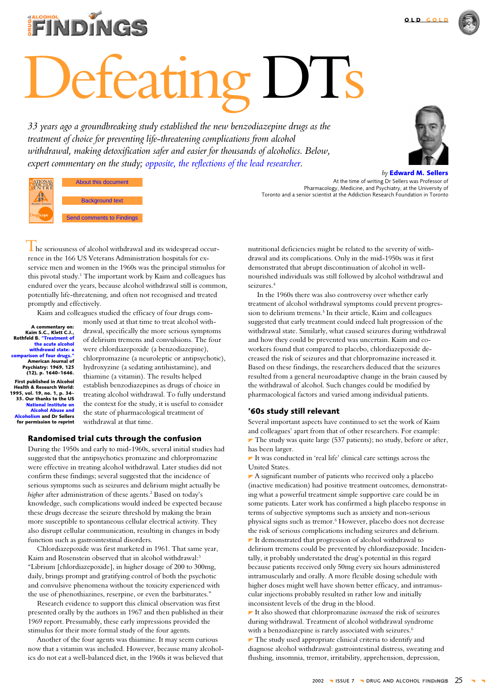

# eating DTs

33 years ago a groundbreaking study established the new benzodiazepine drugs as the treatment of choice for preventing life-threatening complications from alcohol withdrawal, making detoxification safer and easier for thousands of alcoholics. Below, expert commentary on the study; opposite, the reflections of the lead researcher.



 $by$  Edward M. Sellers

At the time of writing Dr Sellers was Professor of Pharmacology, Medicine, and Psychiatry, at the University of Toronto and a senior scientist at the Addiction Research Foundation in Toronto

hol Abuse About this document and Alcoholism and the authors **Background text** 

**Send comments to Findings** 

he seriousness of alcohol withdrawal and its widespread occurrence in the 166 US Veterans Administration hospitals for exservice men and women in the 1960s was the principal stimulus for this pivotal study.<sup>1</sup> The important work by Kaim and colleagues has endured over the years, because alcohol withdrawal still is common, potentially life-threatening, and often not recognised and treated promptly and effectively.

Kaim and colleagues studied the efficacy of four drugs com-

A commentary on:<br>.Kaim S.C., Klett C.J Rothfeld B. "Treatment o the acute alcohol unte ancorestes narison of four drugs. American Journal of Psychiatry: 1969, 125<br>(12), p. 1640–1646. First published in Alcohol Health & Research World: 1995, vol. 19, no. 1, p. 34-35. Our thanks to the US National Institute on<br>Alcohol Abuse and <mark>pholism</mark> and Dr Sellers for permission to reprint

**NATIONAL**<br>**A PRICTION** 

monly used at that time to treat alcohol withdrawal, specifically the more serious symptoms of delirium tremens and convulsions. The four were chlordiazepoxide (a benzodiazepine), chlorpromazine (a neuroleptic or antipsychotic), hydroxyzine (a sedating antihistamine), and thiamine (a vitamin). The results helped establish benzodiazepines as drugs of choice in treating alcohol withdrawal. To fully understand the context for the study, it is useful to consider the state of pharmacological treatment of withdrawal at that time.

## Randomised trial cuts through the confusion

During the 1950s and early to mid-1960s, several initial studies had suggested that the antipsychotics promazine and chlorpromazine were effective in treating alcohol withdrawal. Later studies did not confirm these findings; several suggested that the incidence of serious symptoms such as seizures and delirium might actually be higher after administration of these agents.<sup>2</sup> Based on today's knowledge, such complications would indeed be expected because these drugs decrease the seizure threshold by making the brain more susceptible to spontaneous cellular electrical activity. They also disrupt cellular communication, resulting in changes in body function such as gastrointestinal disorders.

Chlordiazepoxide was first marketed in 1961. That same year, Kaim and Rosenstein observed that in alcohol withdrawal:3 "Librium [chlordiazepoxide], in higher dosage of 200 to 300mg, daily, brings prompt and gratifying control of both the psychotic and convulsive phenomena without the toxicity experienced with the use of phenothiazines, reserpine, or even the barbiturates."

Research evidence to support this clinical observation was first presented orally by the authors in 1967 and then published in their 1969 report. Presumably, these early impressions provided the stimulus for their more formal study of the four agents.

Another of the four agents was thiamine. It may seem curious now that a vitamin was included. However, because many alcoholics do not eat a well-balanced diet, in the 1960s it was believed that

nutritional deficiencies might be related to the severity of withdrawal and its complications. Only in the mid-1950s was it first demonstrated that abrupt discontinuation of alcohol in wellnourished individuals was still followed by alcohol withdrawal and seizures.<sup>4</sup>

In the 1960s there was also controversy over whether early treatment of alcohol withdrawal symptoms could prevent progression to delirium tremens.<sup>5</sup> In their article, Kaim and colleagues suggested that early treatment could indeed halt progression of the withdrawal state. Similarly, what caused seizures during withdrawal and how they could be prevented was uncertain. Kaim and coworkers found that compared to placebo, chlordiazepoxide decreased the risk of seizures and that chlorpromazine increased it. Based on these findings, the researchers deduced that the seizures resulted from a general neuroadaptive change in the brain caused by the withdrawal of alcohol. Such changes could be modified by pharmacological factors and varied among individual patients.

## '60s study still relevant

Several important aspects have continued to set the work of Kaim and colleagues' apart from that of other researchers. For example: The study was quite large (537 patients); no study, before or after, has been larger.

It was conducted in 'real life' clinical care settings across the **United States** 

 $\blacktriangleright$  A significant number of patients who received only a placebo (inactive medication) had positive treatment outcomes, demonstrating what a powerful treatment simple supportive care could be in some patients. Later work has confirmed a high placebo response in terms of subjective symptoms such as anxiety and non-serious physical signs such as tremor.<sup>6</sup> However, placebo does not decrease the risk of serious complications including seizures and delirium. It demonstrated that progression of alcohol withdrawal to delirium tremens could be prevented by chlordiazepoxide. Incidentally, it probably understated the drug's potential in this regard because patients received only 50mg every six hours administered intramuscularly and orally. A more flexible dosing schedule with higher doses might well have shown better efficacy, and intramuscular injections probably resulted in rather low and initially inconsistent levels of the drug in the blood.

It also showed that chlorpromazine *increased* the risk of seizures during withdrawal. Treatment of alcohol withdrawal syndrome with a benzodiazepine is rarely associated with seizures.<sup>6</sup>  $\blacktriangleright$  The study used appropriate clinical criteria to identify and

diagnose alcohol withdrawal: gastrointestinal distress, sweating and flushing, insomnia, tremor, irritability, apprehension, depression,